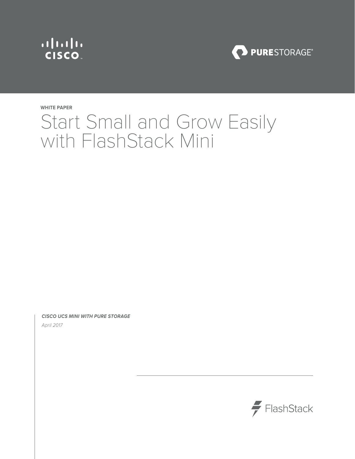



# **WHITE PAPER** Start Small and Grow Easily with FlashStack Mini

*CISCO UCS MINI WITH PURE STORAGE*  April 2017

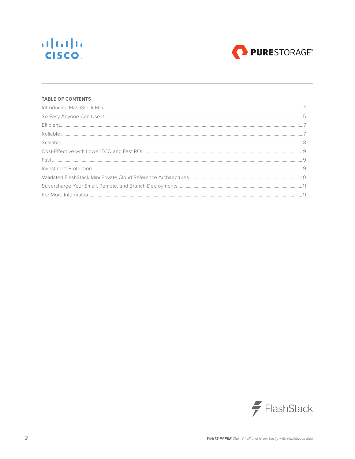



### **TABLE OF CONTENTS**

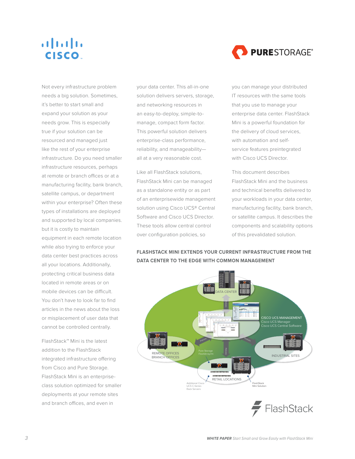

Not every infrastructure problem needs a big solution. Sometimes, it's better to start small and expand your solution as your needs grow. This is especially true if your solution can be resourced and managed just like the rest of your enterprise infrastructure. Do you need smaller infrastructure resources, perhaps at remote or branch offices or at a manufacturing facility, bank branch, satellite campus, or department within your enterprise? Often these types of installations are deployed and supported by local companies. but it is costly to maintain equipment in each remote location while also trying to enforce your data center best practices across all your locations. Additionally, protecting critical business data located in remote areas or on mobile devices can be difficult. You don't have to look far to find articles in the news about the loss or misplacement of user data that cannot be controlled centrally.

FlashStack™ Mini is the latest addition to the FlashStack integrated infrastructure offering from Cisco and Pure Storage. FlashStack Mini is an enterpriseclass solution optimized for smaller deployments at your remote sites and branch offices, and even in

your data center. This all-in-one solution delivers servers, storage, and networking resources in an easy-to-deploy, simple-tomanage, compact form factor. This powerful solution delivers enterprise-class performance, reliability, and manageability all at a very reasonable cost.

Like all FlashStack solutions, FlashStack Mini can be managed as a standalone entity or as part of an enterprisewide management solution using Cisco UCS® Central Software and Cisco UCS Director. These tools allow central control over configuration policies, so

you can manage your distributed IT resources with the same tools that you use to manage your enterprise data center. FlashStack Mini is a powerful foundation for the delivery of cloud services, with automation and selfservice features preintegrated with Cisco UCS Director.

This document describes FlashStack Mini and the business and technical benefits delivered to your workloads in your data center, manufacturing facility, bank branch, or satellite campus. It describes the components and scalability options of this prevalidated solution.

**FLASHSTACK MINI EXTENDS YOUR CURRENT INFRASTRUCTURE FROM THE DATA CENTER TO THE EDGE WITH COMMON MANAGEMENT**



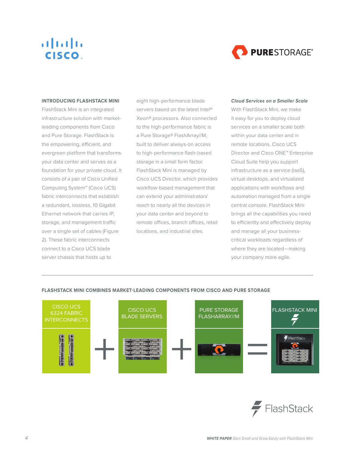

#### <span id="page-3-0"></span>**INTRODUCING FLASHSTACK MINI**

FlashStack Mini is an integrated infrastructure solution with marketleading components from Cisco and Pure Storage. FlashStack is the empowering, efficient, and evergreen platform that transforms your data center and serves as a foundation for your private cloud. It consists of a pair of Cisco Unified Computing System™ (Cisco UCS) fabric interconnects that establish a redundant, lossless, 10 Gigabit Ethernet network that carries IP, storage, and management traffic over a single set of cables (Figure 2). These fabric interconnects connect to a Cisco UCS blade server chassis that hosts up to

eight high-performance blade servers based on the latest Intel<sup>®</sup> Xeon® processors. Also connected to the high-performance fabric is a Pure Storage® FlashArray//M, built to deliver always-on access to high-performance flash-based storage in a small form factor. FlashStack Mini is managed by Cisco UCS Director, which provides workflow-based management that can extend your administrators' reach to nearly all the devices in your data center and beyond to remote offices, branch offices, retail locations, and industrial sites.

#### *Cloud Services on a Smaller Scale*

With FlashStack Mini, we make it easy for you to deploy cloud services on a smaller scale both within your data center and in remote locations. Cisco UCS Director and Cisco ONE™ Enterprise Cloud Suite help you support infrastructure as a service (IaaS), virtual desktops, and virtualized applications with workflows and automation managed from a single central console. FlashStack Mini brings all the capabilities you need to efficiently and effectively deploy and manage all your businesscritical workloads regardless of where they are located—making your company more agile.



#### **FLASHSTACK MINI COMBINES MARKET-LEADING COMPONENTS FROM CISCO AND PURE STORAGE**

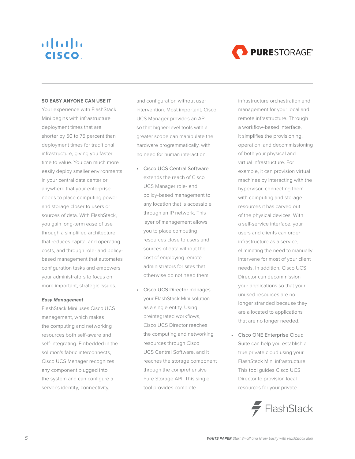

#### <span id="page-4-0"></span>**SO EASY ANYONE CAN USE IT**

Your experience with FlashStack Mini begins with infrastructure deployment times that are shorter by 50 to 75 percent than deployment times for traditional infrastructure, giving you faster time to value. You can much more easily deploy smaller environments in your central data center or anywhere that your enterprise needs to place computing power and storage closer to users or sources of data. With FlashStack, you gain long-term ease of use through a simplified architecture that reduces capital and operating costs, and through role- and policybased management that automates configuration tasks and empowers your administrators to focus on more important, strategic issues.

#### *Easy Management*

FlashStack Mini uses Cisco UCS management, which makes the computing and networking resources both self-aware and self-integrating. Embedded in the solution's fabric interconnects, Cisco UCS Manager recognizes any component plugged into the system and can configure a server's identity, connectivity,

and configuration without user intervention. Most important, Cisco UCS Manager provides an API so that higher-level tools with a greater scope can manipulate the hardware programmatically, with no need for human interaction.

- Cisco UCS Central Software extends the reach of Cisco UCS Manager role- and policy-based management to any location that is accessible through an IP network. This layer of management allows you to place computing resources close to users and sources of data without the cost of employing remote administrators for sites that otherwise do not need them.
- Cisco UCS Director manages your FlashStack Mini solution as a single entity. Using preintegrated workflows, Cisco UCS Director reaches the computing and networking resources through Cisco UCS Central Software, and it reaches the storage component through the comprehensive Pure Storage API. This single tool provides complete

infrastructure orchestration and management for your local and remote infrastructure. Through a workflow-based interface, it simplifies the provisioning, operation, and decommissioning of both your physical and virtual infrastructure. For example, it can provision virtual machines by interacting with the hypervisor, connecting them with computing and storage resources it has carved out of the physical devices. With a self-service interface, your users and clients can order infrastructure as a service, eliminating the need to manually intervene for most of your client needs. In addition, Cisco UCS Director can decommission your applications so that your unused resources are no longer stranded because they are allocated to applications that are no longer needed.

• Cisco ONE Enterprise Cloud Suite can help you establish a true private cloud using your FlashStack Mini infrastructure. This tool guides Cisco UCS Director to provision local resources for your private

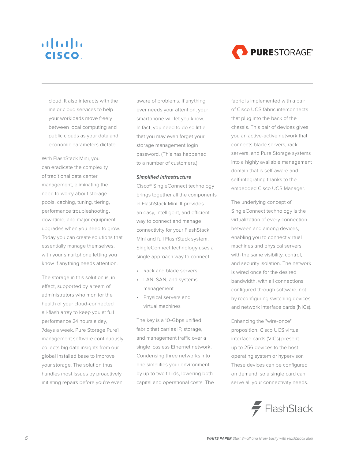## $\mathbf{d}$   $\mathbf{d}$   $\mathbf{d}$ **CISCO**



cloud. It also interacts with the major cloud services to help your workloads move freely between local computing and public clouds as your data and economic parameters dictate.

With FlashStack Mini, you can eradicate the complexity of traditional data center management, eliminating the need to worry about storage pools, caching, tuning, tiering, performance troubleshooting, downtime, and major equipment upgrades when you need to grow. Today you can create solutions that essentially manage themselves, with your smartphone letting you know if anything needs attention.

The storage in this solution is, in effect, supported by a team of administrators who monitor the health of your cloud-connected all-flash array to keep you at full performance 24 hours a day, 7days a week. Pure Storage Pure1 management software continuously collects big data insights from our global installed base to improve your storage. The solution thus handles most issues by proactively initiating repairs before you're even

aware of problems. If anything ever needs your attention, your smartphone will let you know. In fact, you need to do so little that you may even forget your storage management login password. (This has happened to a number of customers.)

#### *Simplified Infrastructure*

Cisco® SingleConnect technology brings together all the components in FlashStack Mini. It provides an easy, intelligent, and efficient way to connect and manage connectivity for your FlashStack Mini and full FlashStack system. SingleConnect technology uses a single approach way to connect:

- Rack and blade servers
- LAN, SAN, and systems management
- Physical servers and virtual machines

The key is a 10-Gbps unified fabric that carries IP, storage, and management traffic over a single lossless Ethernet network. Condensing three networks into one simplifies your environment by up to two thirds, lowering both capital and operational costs. The fabric is implemented with a pair of Cisco UCS fabric interconnects that plug into the back of the chassis. This pair of devices gives you an active-active network that connects blade servers, rack servers, and Pure Storage systems into a highly available management domain that is self-aware and self-integrating thanks to the embedded Cisco UCS Manager.

The underlying concept of SingleConnect technology is the virtualization of every connection between and among devices, enabling you to connect virtual machines and physical servers with the same visibility, control, and security isolation. The network is wired once for the desired bandwidth, with all connections configured through software, not by reconfiguring switching devices and network interface cards (NICs).

Enhancing the "wire-once" proposition, Cisco UCS virtual interface cards (VICs) present up to 256 devices to the host operating system or hypervisor. These devices can be configured on demand, so a single card can serve all your connectivity needs.

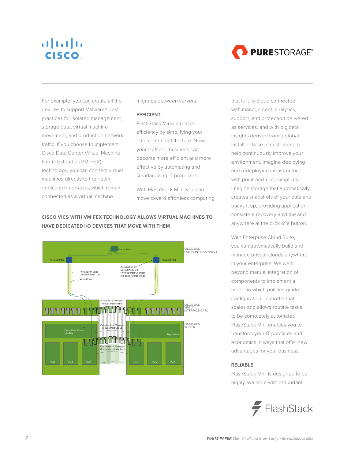<span id="page-6-0"></span>



For example, you can create all the devices to support VMware® best practices for isolated management, storage data, virtual machine movement, and production network traffic. If you choose to implement Cisco Data Center Virtual Machine Fabric Extender (VM-FEX) technology, you can connect virtual machines directly to their own dedicated interfaces, which remain connected as a virtual machine

migrates between servers.

#### **EFFICIENT**

FlashStack Mini increases efficiency by simplifying your data center architecture. Now your staff and business can become more efficient and more effective by automating and standardizing IT processes.

With FlashStack Mini, you can move toward effortless computing

### **CISCO VICS WITH VM-FEX TECHNOLOGY ALLOWS VIRTUAL MACHINES TO HAVE DEDICATED I/O DEVICES THAT MOVE WITH THEM**



that is fully cloud connected, with management, analytics, support, and protection delivered as services, and with big data insights derived from a global installed base of customers to help continuously improve your environment. Imagine deploying and redeploying infrastructure with point-and-click simplicity. Imagine storage that automatically creates snapshots of your data and backs it up, providing applicationconsistent recovery anytime and anywhere at the click of a button.

With Enterprise Cloud Suite, you can automatically build and manage private clouds anywhere in your enterprise. We went beyond manual integration of components to implement a model in which policies guide configuration—a model that scales and allows routine tasks to be completely automated. FlashStack Mini enables you to transform your IT practices and economics in ways that offer new advantages for your business.

#### **RELIABLE**

FlashStack Mini is designed to be highly available with redundant

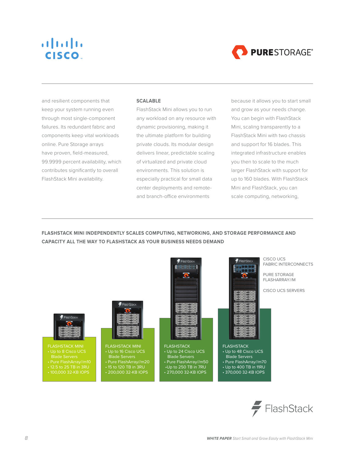<span id="page-7-0"></span>



and resilient components that keep your system running even through most single-component failures. Its redundant fabric and components keep vital workloads online. Pure Storage arrays have proven, field-measured, 99.9999 percent availability, which contributes significantly to overall FlashStack Mini availability.

#### **SCALABLE**

FlashStack Mini allows you to run any workload on any resource with dynamic provisioning, making it the ultimate platform for building private clouds. Its modular design delivers linear, predictable scaling of virtualized and private cloud environments. This solution is especially practical for small data center deployments and remoteand branch-office environments

because it allows you to start small and grow as your needs change. You can begin with FlashStack Mini, scaling transparently to a FlashStack Mini with two chassis and support for 16 blades. This integrated infrastructure enables you then to scale to the much larger FlashStack with support for up to 160 blades. With FlashStack Mini and FlashStack, you can scale computing, networking,

**FLASHSTACK MINI INDEPENDENTLY SCALES COMPUTING, NETWORKING, AND STORAGE PERFORMANCE AND CAPACITY ALL THE WAY TO FLASHSTACK AS YOUR BUSINESS NEEDS DEMAND**



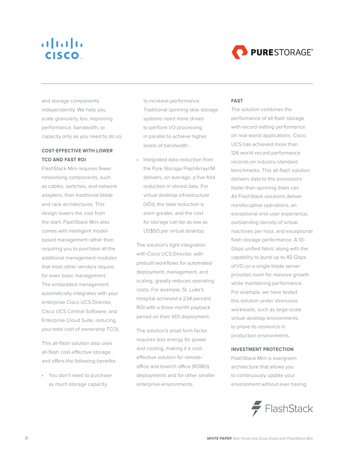## <span id="page-8-0"></span> $\mathbf{d}$   $\mathbf{d}$   $\mathbf{d}$ **CISCO**



and storage components independently. We help you scale granularly, too, improving performance, bandwidth, or capacity only as you need to do so.

### **COST-EFFECTIVE WITH LOWER TCO AND FAST ROI**

FlashStack Mini requires fewer networking components, such as cables, switches, and network adapters, than traditional blade and rack architectures. This design lowers the cost from the start. FlashStack Mini also comes with intelligent modelbased management rather than requiring you to purchase all the additional management modules that most other vendors require for even basic management. The embedded management automatically integrates with your enterprise Cisco UCS Director, Cisco UCS Central Software, and Enterprise Cloud Suite, reducing your total cost of ownership TCO).

This all-flash solution also uses all-flash cost-effective storage and offers the following benefits:

• You don't need to purchase as much storage capacity

to increase performance. Traditional spinning-disk storage systems need more drives to perform I/O processing in parallel to achieve higher levels of bandwidth.

Integrated data reduction from the Pure Storage FlashArray//M delivers, on average, a five-fold reduction in stored data. For virtual desktop infrastructure (VDI), the data reduction is even greater, and the cost for storage can be as low as US\$50 per virtual desktop.

The solution's tight integration with Cisco UCS Director, with prebuilt workflows for automated deployment, management, and scaling, greatly reduces operating costs. For example, St. Luke's Hospital achieved a 234 percent ROI with a three-month payback period on their VDI deployment.

The solution's small form factor requires less energy for power and cooling, making it a costeffective solution for remoteoffice and branch-office (ROBO) deployments and for other smaller enterprise environments.

#### **FAST**

The solution combines the performance of all-flash storage with record-setting performance on real-world applications. Cisco UCS has achieved more than 126 world-record performance records on industry-standard benchmarks. This all-flash solution delivers data to the processors faster than spinning disks can. All FlashStack solutions deliver nondisruptive operations, an exceptional end-user experience, outstanding density of virtual machines per host, and exceptional flash storage performance. A 10- Gbps unified fabric along with the capability to burst up to 40 Gbps of I/O on a single blade server provides room for massive growth while maintaining performance. For example, we have tested this solution under strenuous workloads, such as large-scale virtual desktop environments, to prove its resilience in production environments.

#### **INVESTMENT PROTECTION**

FlashStack Mini is evergreen architecture that allows you to continuously update your environment without ever having

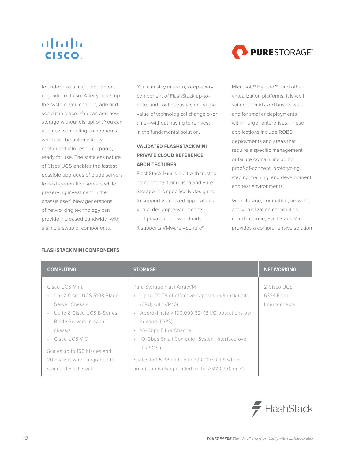

<span id="page-9-0"></span>to undertake a major equipment upgrade to do so. After you set up the system, you can upgrade and scale it in place. You can add new storage without disruption. You can add new computing components, which will be automatically configured into resource pools, ready for use. The stateless nature of Cisco UCS enables the fastest possible upgrades of blade servers to next-generation servers while preserving investment in the chassis itself. New generations of networking technology can provide increased bandwidth with a simple swap of components.

You can stay modern, keep every component of FlashStack up-todate, and continuously capture the value of technological change over time—without having to reinvest in the fundamental solution.

### **VALIDATED FLASHSTACK MINI PRIVATE CLOUD REFERENCE ARCHITECTURES**

FlashStack Mini is built with trusted components from Cisco and Pure Storage. It is specifically designed to support virtualized applications, virtual desktop environments, and private cloud workloads. It supports VMware vSphere®,

Microsoft® Hyper-V®, and other virtualization platforms. It is well suited for midsized businesses and for smaller deployments within larger enterprises. These applications include ROBO deployments and areas that require a specific management or failure domain, including proof-of-concept, prototyping, staging, training, and development and test environments.

With storage, computing, network, and virtualization capabilities rolled into one, FlashStack Mini provides a comprehensive solution

| <b>COMPUTING</b>                                                                                                                                                                                                      | <b>STORAGE</b>                                                                                                                                                                                                                                                                                                                                                | <b>NETWORKING</b>                           |
|-----------------------------------------------------------------------------------------------------------------------------------------------------------------------------------------------------------------------|---------------------------------------------------------------------------------------------------------------------------------------------------------------------------------------------------------------------------------------------------------------------------------------------------------------------------------------------------------------|---------------------------------------------|
| Cisco UCS Mini:<br>• 1 or 2 Cisco UCS 5108 Blade<br>Server Chassis<br>Up to 8 Cisco UCS B-Series<br>Blade Servers in each<br>chassis<br>• Cisco UCS VIC<br>Scales up to 160 blades and<br>20 chassis when upgraded to | Pure Storage FlashArray//M<br>Up to 25 TB of effective capacity in 3 rack units<br>$\bullet$<br>(SRU; with // M10)<br>Approximately 100,000 32-KB I/O operations per<br>$\circ$<br>second (IOPS)<br>16-Gbps Fibre Channel<br>$\circ$<br>10-Gbps Small Computer System Interface over<br>$\circ$<br>IP (iSCSI)<br>Scales to 1.5 PB and up to 370,000 IOPS when | 2 Cisco UCS<br>6324 Fabric<br>Interconnects |
| standard FlashStack                                                                                                                                                                                                   | nondisruptively upgraded to the //M20, 50, or 70                                                                                                                                                                                                                                                                                                              |                                             |

### **FLASHSTACK MINI COMPONENTS**

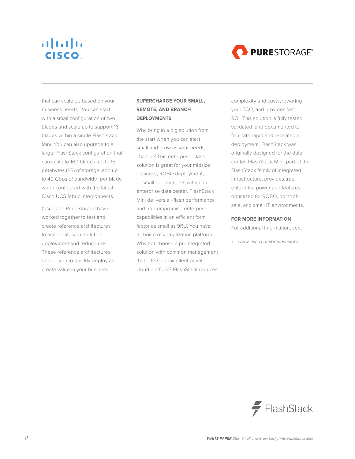

<span id="page-10-0"></span>that can scale up based on your business needs. You can start with a small configuration of two blades and scale up to support 16 blades within a single FlashStack Mini. You can also upgrade to a larger FlashStack configuration that can scale to 160 blades, up to 15 petabytes (PB) of storage, and up to 40 Gbps of bandwidth per blade when configured with the latest Cisco UCS fabric interconnects.

Cisco and Pure Storage have worked together to test and create reference architectures to accelerate your solution deployment and reduce risk. These reference architectures enable you to quickly deploy and create value in your business.

### **SUPERCHARGE YOUR SMALL, REMOTE, AND BRANCH DEPLOYMENTS**

Why bring in a big solution from the start when you can start small and grow as your needs change? This enterprise-class solution is great for your midsize business, ROBO deployment, or small deployments within an enterprise data center. FlashStack Mini delivers all-flash performance and no-compromise enterprise capabilities in an efficient form factor as small as 9RU. You have a choice of virtualization platform. Why not choose a preintegrated solution with common management that offers an excellent private cloud platform? FlashStack reduces

complexity and costs, lowering your TCO, and provides fast ROI. This solution is fully tested, validated, and documented to facilitate rapid and repeatable deployment. FlashStack was originally designed for the data center. FlashStack Mini, part of the FlashStack family of integrated infrastructure, provides true enterprise power and features optimized for ROBO, point-ofsale, and small IT environments.

#### **FOR MORE INFORMATION**

For additional information, see:

• [www.cisco.com/go/flashstack](http://www.cisco.com/go/flashstack)